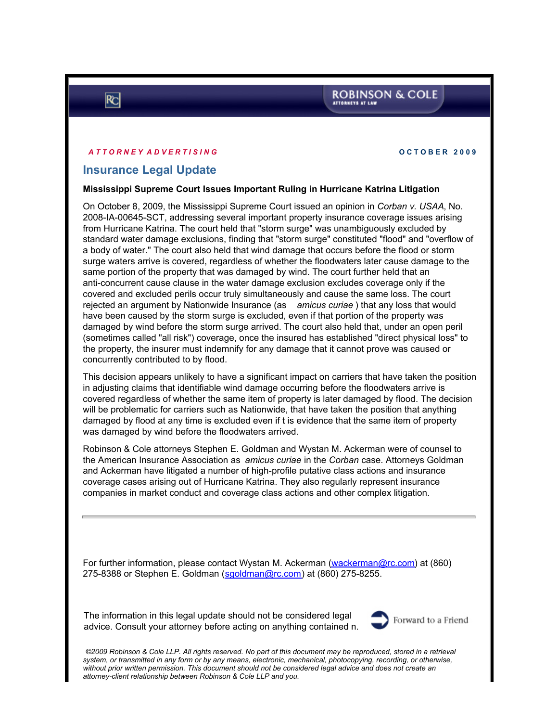## **ROBINSON & COLE** ATTORNEYS AT LAW

### *A T T O R N E Y A D V E R T I S I N G* **O C T O B E R 2 0 0 9**

# **Insurance Legal Update**

### **Mississippi Supreme Court Issues Important Ruling in Hurricane Katrina Litigation**

On October 8, 2009, the Mississippi Supreme Court issued an opinion in *Corban v. USAA*, No. 2008-IA-00645-SCT, addressing several important property insurance coverage issues arising from Hurricane Katrina. The court held that "storm surge" was unambiguously excluded by standard water damage exclusions, finding that "storm surge" constituted "flood" and "overflow of a body of water." The court also held that wind damage that occurs before the flood or storm surge waters arrive is covered, regardless of whether the floodwaters later cause damage to the same portion of the property that was damaged by wind. The court further held that an anti-concurrent cause clause in the water damage exclusion excludes coverage only if the covered and excluded perils occur truly simultaneously and cause the same loss. The court rejected an argument by Nationwide Insurance (as *amicus curiae* ) that any loss that would have been caused by the storm surge is excluded, even if that portion of the property was damaged by wind before the storm surge arrived. The court also held that, under an open peril (sometimes called "all risk") coverage, once the insured has established "direct physical loss" to the property, the insurer must indemnify for any damage that it cannot prove was caused or concurrently contributed to by flood.

This decision appears unlikely to have a significant impact on carriers that have taken the position in adjusting claims that identifiable wind damage occurring before the floodwaters arrive is covered regardless of whether the same item of property is later damaged by flood. The decision will be problematic for carriers such as Nationwide, that have taken the position that anything damaged by flood at any time is excluded even if t is evidence that the same item of property was damaged by wind before the floodwaters arrived.

Robinson & Cole attorneys Stephen E. Goldman and Wystan M. Ackerman were of counsel to the American Insurance Association as *amicus curiae* in the *Corban* case. Attorneys Goldman and Ackerman have litigated a number of high-profile putative class actions and insurance coverage cases arising out of Hurricane Katrina. They also regularly represent insurance companies in market conduct and coverage class actions and other complex litigation.

For further information, please contact Wystan M. Ackerman ([wackerman@rc.com](mailto:wackerman@rc.com)) at (860) 275-8388 or Stephen E. Goldman ([sgoldman@rc.com](http://sgoldman@rc.com)) at (860) 275-8255.

The information in this legal update should not be considered legal advice. Consult your attorney before acting on anything contained n.



*©2009 Robinson & Cole LLP. All rights reserved. No part of this document may be reproduced, stored in a retrieval system, or transmitted in any form or by any means, electronic, mechanical, photocopying, recording, or otherwise, without prior written permission. This document should not be considered legal advice and does not create an attorney-client relationship between Robinson & Cole LLP and you.*